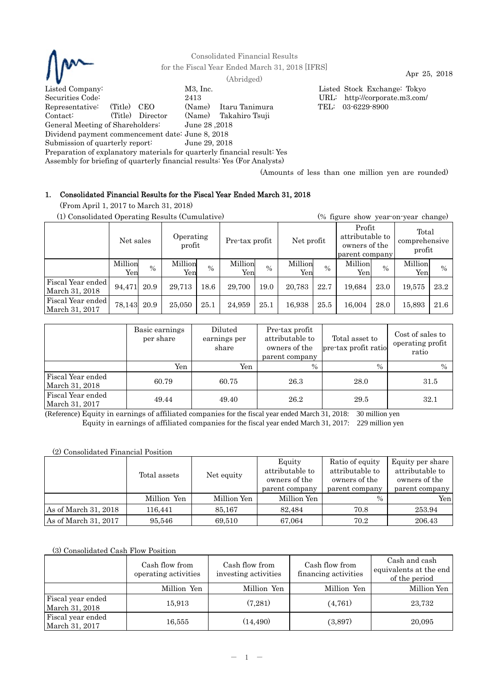

Consolidated Financial Results for the Fiscal Year Ended March 31, 2018 [IFRS] Apr 25, 2018 (Abridged)

Listed Company: M3, Inc. Listed Stock Exchange: Tokyo Securities Code: 2413 URL: http://corporate.m3.com/

Representative: (Title) CEO (Name) Itaru Tanimura TEL: 03-6229-8900 Contact: (Title) Director (Name) Takahiro Tsuji General Meeting of Shareholders: June 28 ,2018

Dividend payment commencement date: June 8, 2018

Submission of quarterly report: June 29, 2018

Preparation of explanatory materials for quarterly financial result: Yes

Assembly for briefing of quarterly financial results: Yes (For Analysts)

(Amounts of less than one million yen are rounded)

# 1. Consolidated Financial Results for the Fiscal Year Ended March 31, 2018

(From April 1, 2017 to March 31, 2018)

(1) Consolidated Operating Results (Cumulative) (% figure show year-on-year change)

|                                     | Net sales       |      | Operating<br>profit |      | Pre-tax profit |               | Net profit     |      | Profit<br>attributable to<br>owners of the<br>parent company |               | Total<br>comprehensive<br>profit |      |
|-------------------------------------|-----------------|------|---------------------|------|----------------|---------------|----------------|------|--------------------------------------------------------------|---------------|----------------------------------|------|
|                                     | Million<br>Yenl | $\%$ | Million<br>Yen      | $\%$ | Million<br>Yen | $\frac{0}{0}$ | Million<br>Yen | $\%$ | Million<br>Yen                                               | $\frac{0}{0}$ | Million<br>Yen                   | $\%$ |
| Fiscal Year ended<br>March 31, 2018 | 94,471          | 20.9 | 29.713              | 18.6 | 29,700         | 19.0          | 20,783         | 22.7 | 19.684                                                       | 23.0          | 19,575                           | 23.2 |
| Fiscal Year ended<br>March 31, 2017 | 78,143          | 20.9 | 25,050              | 25.1 | 24,959         | 25.1          | 16,938         | 25.5 | 16.004                                                       | 28.0          | 15,893                           | 21.6 |

|                                     | Basic earnings<br>per share | Diluted<br>earnings per<br>share | Pre-tax profit<br>attributable to<br>owners of the<br>parent company | Total asset to<br>pre-tax profit ratio | Cost of sales to<br>operating profit<br>ratio |
|-------------------------------------|-----------------------------|----------------------------------|----------------------------------------------------------------------|----------------------------------------|-----------------------------------------------|
|                                     | Yen                         | Yen                              | $\%$                                                                 | $\%$                                   | $\%$                                          |
| Fiscal Year ended<br>March 31, 2018 | 60.79                       | 60.75                            | 26.3                                                                 | 28.0                                   | 31.5                                          |
| Fiscal Year ended<br>March 31, 2017 | 49.44                       | 49.40                            | 26.2                                                                 | 29.5                                   | 32.1                                          |

(Reference) Equity in earnings of affiliated companies for the fiscal year ended March 31, 2018: 30 million yen Equity in earnings of affiliated companies for the fiscal year ended March 31, 2017: 229 million yen

## (2) Consolidated Financial Position

|                      | Total assets |             | Equity<br>attributable to<br>owners of the<br>parent company | Ratio of equity<br>attributable to<br>owners of the<br>parent company | Equity per share<br>attributable to<br>owners of the<br>parent company |
|----------------------|--------------|-------------|--------------------------------------------------------------|-----------------------------------------------------------------------|------------------------------------------------------------------------|
|                      | Million Yen  | Million Yen | Million Yen                                                  | $\%$                                                                  | Yenl                                                                   |
| As of March 31, 2018 | 116.441      | 85,167      | 82.484                                                       | 70.8                                                                  | 253.94                                                                 |
| As of March 31, 2017 | 95,546       | 69,510      | 67,064                                                       | 70.2                                                                  | 206.43                                                                 |

## (3) Consolidated Cash Flow Position

|                                     | Cash flow from<br>operating activities | Cash flow from<br>investing activities | Cash flow from<br>financing activities | Cash and cash<br>equivalents at the end<br>of the period |
|-------------------------------------|----------------------------------------|----------------------------------------|----------------------------------------|----------------------------------------------------------|
|                                     | Million Yen                            | Million Yen                            | Million Yen                            | Million Yen                                              |
| Fiscal year ended<br>March 31, 2018 | 15,913                                 | (7.281)                                | (4,761)                                | 23,732                                                   |
| Fiscal year ended<br>March 31, 2017 | 16,555                                 | (14, 490)                              | (3,897)                                | 20,095                                                   |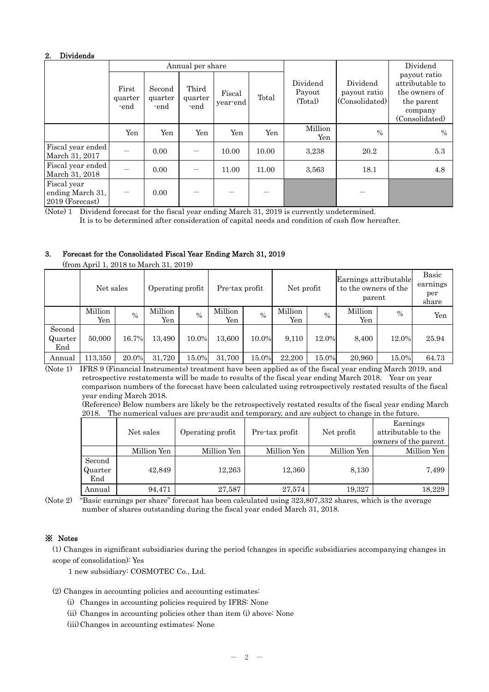## 2. Dividends

|                                                    |                          |                                                                             | Annual per share |       |                               |                                            |                                                                                             | Dividend      |
|----------------------------------------------------|--------------------------|-----------------------------------------------------------------------------|------------------|-------|-------------------------------|--------------------------------------------|---------------------------------------------------------------------------------------------|---------------|
|                                                    | First<br>quarter<br>-end | Third<br>Second<br>Fiscal<br>quarter<br>quarter<br>year-end<br>-end<br>-end |                  | Total | Dividend<br>Payout<br>(Total) | Dividend<br>payout ratio<br>(Consolidated) | payout ratio<br>attributable to<br>the owners of<br>the parent<br>company<br>(Consolidated) |               |
|                                                    | Yen                      | Yen                                                                         | Yen              | Yen   | Yen                           | Million<br>Yen                             | $\frac{0}{0}$                                                                               | $\frac{0}{0}$ |
| Fiscal year ended<br>March 31, 2017                |                          | 0.00                                                                        |                  | 10.00 | 10.00                         | 3,238                                      | 20.2                                                                                        | 5.3           |
| Fiscal year ended<br>March 31, 2018                |                          | 0.00                                                                        |                  | 11.00 | 11.00                         | 3,563                                      | 18.1                                                                                        | 4.8           |
| Fiscal year<br>ending March 31,<br>2019 (Forecast) |                          | 0.00                                                                        |                  |       |                               |                                            |                                                                                             |               |

(Note) 1 Dividend forecast for the fiscal year ending March 31, 2019 is currently undetermined.

It is to be determined after consideration of capital needs and condition of cash flow hereafter.

## 3. Forecast for the Consolidated Fiscal Year Ending March 31, 2019

| $\mu$ . The state of the state of $\mu$ |                |       |                  |               |                |       |                |               |                                                         |       |                                   |  |
|-----------------------------------------|----------------|-------|------------------|---------------|----------------|-------|----------------|---------------|---------------------------------------------------------|-------|-----------------------------------|--|
|                                         | Net sales      |       | Operating profit |               | Pre-tax profit |       | Net profit     |               | Earnings attributable<br>to the owners of the<br>parent |       | Basic<br>earnings<br>per<br>share |  |
|                                         | Million<br>Yen | $\%$  | Million<br>Yen   | $\frac{0}{0}$ | Million<br>Yen | $\%$  | Million<br>Yen | $\frac{0}{0}$ | Million<br>Yen                                          | $\%$  | Yen                               |  |
| Second<br>Quarter<br>End                | 50,000         | 16.7% | 13,490           | 10.0%         | 13,600         | 10.0% | 9,110          | 12.0%         | 8,400                                                   | 12.0% | 25.94                             |  |
| Annual                                  | 113,350        | 20.0% | 31,720           | 15.0%         | 31,700         | 15.0% | 22,200         | 15.0%         | 20,960                                                  | 15.0% | 64.73                             |  |

(from April 1, 2018 to March 31, 2019)

(Note 1) IFRS 9 (Financial Instruments) treatment have been applied as of the fiscal year ending March 2019, and retrospective restatements will be made to results of the fiscal year ending March 2018. Year on year comparison numbers of the forecast have been calculated using retrospectively restated results of the fiscal year ending March 2018.

(Reference) Below numbers are likely be the retrospectively restated results of the fiscal year ending March 2018. The numerical values are pre-audit and temporary, and are subject to change in the future.

|                                           | Net sales   | Operating profit | Pre-tax profit | Net profit  | Earnings<br>attributable to the<br>owners of the parent |
|-------------------------------------------|-------------|------------------|----------------|-------------|---------------------------------------------------------|
|                                           | Million Yen | Million Yen      | Million Yen    | Million Yen | Million Yen                                             |
| Second<br>Quarter<br>$\operatorname{End}$ | 42,849      | 12,263           | 12,360         | 8,130       | 7,499                                                   |
| Annual                                    | 94,471      | 27,587           | 27,574         | 19,327      | 18,229                                                  |

(Note 2) "Basic earnings per share" forecast has been calculated using 323,807,332 shares, which is the average number of shares outstanding during the fiscal year ended March 31, 2018.

# ※ Notes

(1) Changes in significant subsidiaries during the period (changes in specific subsidiaries accompanying changes in scope of consolidation): Yes

1 new subsidiary: COSMOTEC Co., Ltd.

(2) Changes in accounting policies and accounting estimates:

- (i) Changes in accounting policies required by IFRS: None
- (ii) Changes in accounting policies other than item (i) above: None

(iii) Changes in accounting estimates: None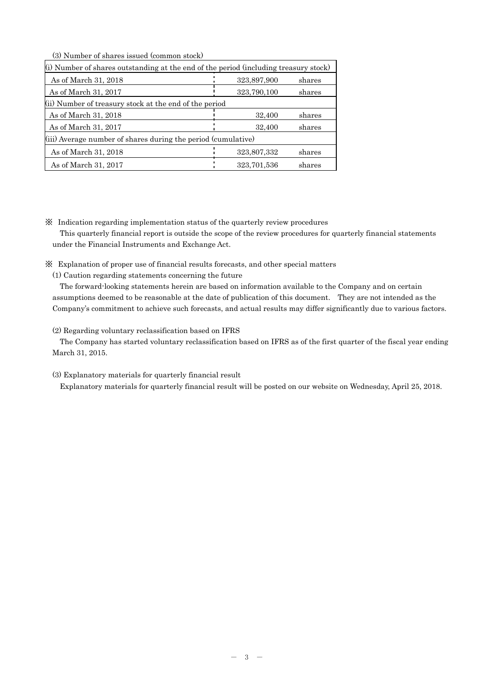(3) Number of shares issued (common stock)

| (i) Number of shares outstanding at the end of the period (including treasury stock) |                                                               |        |  |  |  |  |  |  |  |
|--------------------------------------------------------------------------------------|---------------------------------------------------------------|--------|--|--|--|--|--|--|--|
| As of March 31, 2018                                                                 | 323,897,900                                                   | shares |  |  |  |  |  |  |  |
| As of March 31, 2017                                                                 | 323,790,100                                                   | shares |  |  |  |  |  |  |  |
| (ii) Number of treasury stock at the end of the period                               |                                                               |        |  |  |  |  |  |  |  |
| As of March 31, 2018                                                                 | 32,400                                                        | shares |  |  |  |  |  |  |  |
| As of March 31, 2017                                                                 | 32,400                                                        | shares |  |  |  |  |  |  |  |
|                                                                                      | (iii) Average number of shares during the period (cumulative) |        |  |  |  |  |  |  |  |
| As of March 31, 2018                                                                 | 323,807,332                                                   | shares |  |  |  |  |  |  |  |
| As of March 31, 2017                                                                 | 323.701.536                                                   | shares |  |  |  |  |  |  |  |

※ Indication regarding implementation status of the quarterly review procedures

This quarterly financial report is outside the scope of the review procedures for quarterly financial statements under the Financial Instruments and Exchange Act.

- ※ Explanation of proper use of financial results forecasts, and other special matters
	- (1) Caution regarding statements concerning the future

The forward-looking statements herein are based on information available to the Company and on certain assumptions deemed to be reasonable at the date of publication of this document. They are not intended as the Company's commitment to achieve such forecasts, and actual results may differ significantly due to various factors.

(2) Regarding voluntary reclassification based on IFRS

The Company has started voluntary reclassification based on IFRS as of the first quarter of the fiscal year ending March 31, 2015.

#### (3) Explanatory materials for quarterly financial result

Explanatory materials for quarterly financial result will be posted on our website on Wednesday, April 25, 2018.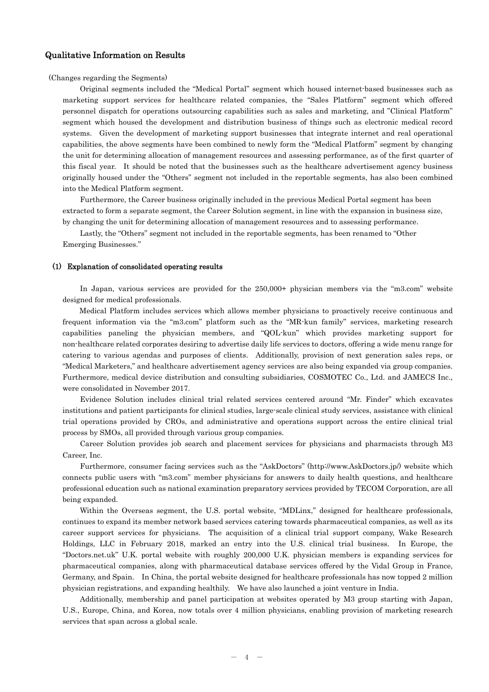#### Qualitative Information on Results

#### (Changes regarding the Segments)

Original segments included the "Medical Portal" segment which housed internet-based businesses such as marketing support services for healthcare related companies, the "Sales Platform" segment which offered personnel dispatch for operations outsourcing capabilities such as sales and marketing, and "Clinical Platform" segment which housed the development and distribution business of things such as electronic medical record systems. Given the development of marketing support businesses that integrate internet and real operational capabilities, the above segments have been combined to newly form the "Medical Platform" segment by changing the unit for determining allocation of management resources and assessing performance, as of the first quarter of this fiscal year. It should be noted that the businesses such as the healthcare advertisement agency business originally housed under the "Others" segment not included in the reportable segments, has also been combined into the Medical Platform segment.

Furthermore, the Career business originally included in the previous Medical Portal segment has been extracted to form a separate segment, the Career Solution segment, in line with the expansion in business size, by changing the unit for determining allocation of management resources and to assessing performance.

Lastly, the "Others" segment not included in the reportable segments, has been renamed to "Other Emerging Businesses."

#### (1) Explanation of consolidated operating results

In Japan, various services are provided for the 250,000+ physician members via the "m3.com" website designed for medical professionals.

 Medical Platform includes services which allows member physicians to proactively receive continuous and frequent information via the "m3.com" platform such as the "MR-kun family" services, marketing research capabilities paneling the physician members, and "QOL-kun" which provides marketing support for non-healthcare related corporates desiring to advertise daily life services to doctors, offering a wide menu range for catering to various agendas and purposes of clients. Additionally, provision of next generation sales reps, or "Medical Marketers," and healthcare advertisement agency services are also being expanded via group companies. Furthermore, medical device distribution and consulting subsidiaries, COSMOTEC Co., Ltd. and JAMECS Inc., were consolidated in November 2017.

Evidence Solution includes clinical trial related services centered around "Mr. Finder" which excavates institutions and patient participants for clinical studies, large-scale clinical study services, assistance with clinical trial operations provided by CROs, and administrative and operations support across the entire clinical trial process by SMOs, all provided through various group companies.

Career Solution provides job search and placement services for physicians and pharmacists through M3 Career, Inc.

Furthermore, consumer facing services such as the "AskDoctors" (http://www.AskDoctors.jp/) website which connects public users with "m3.com" member physicians for answers to daily health questions, and healthcare professional education such as national examination preparatory services provided by TECOM Corporation, are all being expanded.

Within the Overseas segment, the U.S. portal website, "MDLinx," designed for healthcare professionals, continues to expand its member network based services catering towards pharmaceutical companies, as well as its career support services for physicians. The acquisition of a clinical trial support company, Wake Research Holdings, LLC in February 2018, marked an entry into the U.S. clinical trial business. In Europe, the "Doctors.net.uk" U.K. portal website with roughly 200,000 U.K. physician members is expanding services for pharmaceutical companies, along with pharmaceutical database services offered by the Vidal Group in France, Germany, and Spain. In China, the portal website designed for healthcare professionals has now topped 2 million physician registrations, and expanding healthily. We have also launched a joint venture in India.

Additionally, membership and panel participation at websites operated by M3 group starting with Japan, U.S., Europe, China, and Korea, now totals over 4 million physicians, enabling provision of marketing research services that span across a global scale.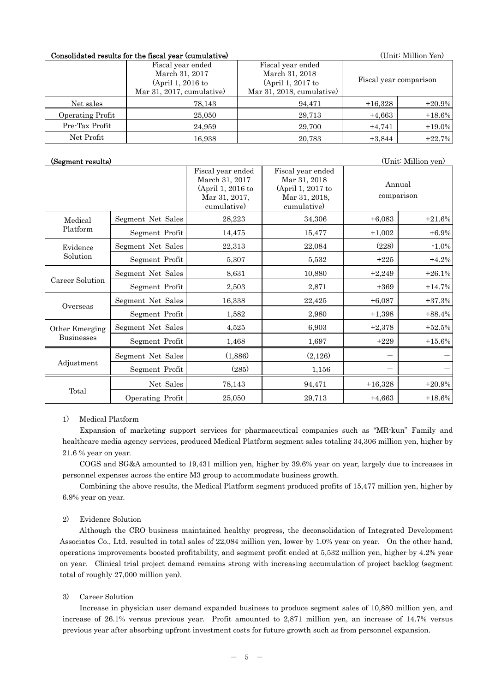### Consolidated results for the fiscal year (cumulative) (Unit: Million Yen)

|                  | Fiscal year ended<br>March 31, 2017<br>(April 1, 2016 to | Fiscal year ended<br>March 31, 2018<br>(April 1, 2017 to |           | Fiscal year comparison |
|------------------|----------------------------------------------------------|----------------------------------------------------------|-----------|------------------------|
|                  | Mar 31, 2017, cumulative)                                | Mar 31, 2018, cumulative)                                |           |                        |
| Net sales        | 78,143                                                   | 94,471                                                   | $+16,328$ | $+20.9%$               |
| Operating Profit | 25,050                                                   | 29,713                                                   | $+4,663$  | $+18.6%$               |
| Pre-Tax Profit   | 24.959                                                   | 29.700                                                   | $+4,741$  | $+19.0\%$              |
| Net Profit       | 16.938                                                   | 20,783                                                   | $+3,844$  | $+22.7%$               |

(Segment results) (Unit: Million yen)

|                   |                   | Fiscal year ended<br>March 31, 2017<br>(April 1, 2016 to<br>Mar 31, 2017,<br>cumulative) | Fiscal year ended<br>Mar 31, 2018<br>(April 1, 2017 to<br>Mar 31, 2018,<br>cumulative) | Annual<br>comparison |          |
|-------------------|-------------------|------------------------------------------------------------------------------------------|----------------------------------------------------------------------------------------|----------------------|----------|
| Medical           | Segment Net Sales | 28,223                                                                                   | 34,306                                                                                 | $+6,083$             | $+21.6%$ |
| Platform          | Segment Profit    | 14,475                                                                                   | 15,477                                                                                 | $+1,002$             | $+6.9%$  |
| Evidence          | Segment Net Sales | 22,313                                                                                   | 22,084                                                                                 | (228)                | $-1.0\%$ |
| Solution          | Segment Profit    | 5,307                                                                                    | 5,532                                                                                  | $+225$               | $+4.2%$  |
|                   | Segment Net Sales | 8,631                                                                                    | 10,880                                                                                 | $+2,249$             | $+26.1%$ |
| Career Solution   | Segment Profit    | 2,503                                                                                    | 2,871                                                                                  | $+369$               | $+14.7%$ |
| Overseas          | Segment Net Sales | 16,338                                                                                   | 22,425                                                                                 | $+6,087$             | $+37.3%$ |
|                   | Segment Profit    | 1,582                                                                                    | 2,980                                                                                  | $+1,398$             | $+88.4%$ |
| Other Emerging    | Segment Net Sales | 4,525                                                                                    | 6,903                                                                                  | $+2,378$             | $+52.5%$ |
| <b>Businesses</b> | Segment Profit    | 1,468                                                                                    | 1,697                                                                                  | $+229$               | $+15.6%$ |
|                   | Segment Net Sales | (1,886)                                                                                  | (2,126)                                                                                |                      |          |
| Adjustment        | Segment Profit    | (285)                                                                                    | 1,156                                                                                  |                      |          |
|                   | Net Sales         | 78,143                                                                                   | 94,471                                                                                 | $+16,328$            | $+20.9%$ |
| Total             | Operating Profit  | 25,050                                                                                   | 29,713                                                                                 | $+4,663$             | $+18.6%$ |

#### 1) Medical Platform

Expansion of marketing support services for pharmaceutical companies such as "MR-kun" Family and healthcare media agency services, produced Medical Platform segment sales totaling 34,306 million yen, higher by 21.6 % year on year.

 COGS and SG&A amounted to 19,431 million yen, higher by 39.6% year on year, largely due to increases in personnel expenses across the entire M3 group to accommodate business growth.

 Combining the above results, the Medical Platform segment produced profits of 15,477 million yen, higher by 6.9% year on year.

#### 2) Evidence Solution

Although the CRO business maintained healthy progress, the deconsolidation of Integrated Development Associates Co., Ltd. resulted in total sales of 22,084 million yen, lower by 1.0% year on year. On the other hand, operations improvements boosted profitability, and segment profit ended at 5,532 million yen, higher by 4.2% year on year. Clinical trial project demand remains strong with increasing accumulation of project backlog (segment total of roughly 27,000 million yen).

#### 3) Career Solution

Increase in physician user demand expanded business to produce segment sales of 10,880 million yen, and increase of 26.1% versus previous year. Profit amounted to 2,871 million yen, an increase of 14.7% versus previous year after absorbing upfront investment costs for future growth such as from personnel expansion.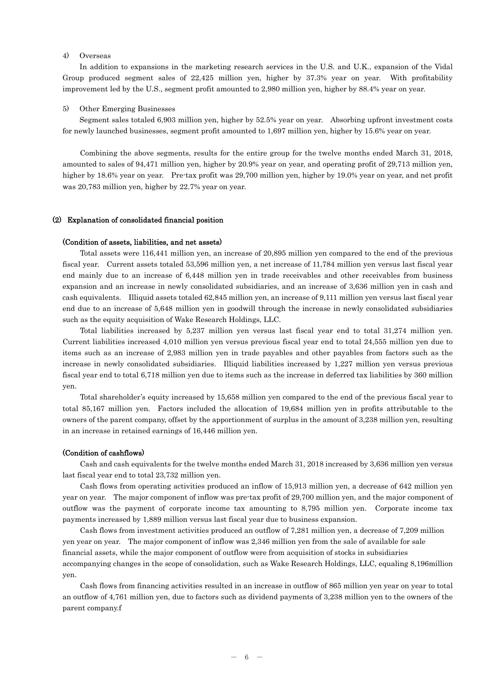## 4) Overseas

In addition to expansions in the marketing research services in the U.S. and U.K., expansion of the Vidal Group produced segment sales of 22,425 million yen, higher by 37.3% year on year. With profitability improvement led by the U.S., segment profit amounted to 2,980 million yen, higher by 88.4% year on year.

#### 5) Other Emerging Businesses

Segment sales totaled 6,903 million yen, higher by 52.5% year on year. Absorbing upfront investment costs for newly launched businesses, segment profit amounted to 1,697 million yen, higher by 15.6% year on year.

Combining the above segments, results for the entire group for the twelve months ended March 31, 2018, amounted to sales of 94,471 million yen, higher by 20.9% year on year, and operating profit of 29,713 million yen, higher by 18.6% year on year. Pre-tax profit was 29,700 million yen, higher by 19.0% year on year, and net profit was 20,783 million yen, higher by 22.7% year on year.

#### (2) Explanation of consolidated financial position

#### (Condition of assets, liabilities, and net assets)

Total assets were 116,441 million yen, an increase of 20,895 million yen compared to the end of the previous fiscal year. Current assets totaled 53,596 million yen, a net increase of 11,784 million yen versus last fiscal year end mainly due to an increase of 6,448 million yen in trade receivables and other receivables from business expansion and an increase in newly consolidated subsidiaries, and an increase of 3,636 million yen in cash and cash equivalents. Illiquid assets totaled 62,845 million yen, an increase of 9,111 million yen versus last fiscal year end due to an increase of 5,648 million yen in goodwill through the increase in newly consolidated subsidiaries such as the equity acquisition of Wake Research Holdings, LLC.

Total liabilities increased by 5,237 million yen versus last fiscal year end to total 31,274 million yen. Current liabilities increased 4,010 million yen versus previous fiscal year end to total 24,555 million yen due to items such as an increase of 2,983 million yen in trade payables and other payables from factors such as the increase in newly consolidated subsidiaries. Illiquid liabilities increased by 1,227 million yen versus previous fiscal year end to total 6,718 million yen due to items such as the increase in deferred tax liabilities by 360 million yen.

Total shareholder's equity increased by 15,658 million yen compared to the end of the previous fiscal year to total 85,167 million yen. Factors included the allocation of 19,684 million yen in profits attributable to the owners of the parent company, offset by the apportionment of surplus in the amount of 3,238 million yen, resulting in an increase in retained earnings of 16,446 million yen.

#### (Condition of cashflows)

Cash and cash equivalents for the twelve months ended March 31, 2018 increased by 3,636 million yen versus last fiscal year end to total 23,732 million yen.

Cash flows from operating activities produced an inflow of 15,913 million yen, a decrease of 642 million yen year on year. The major component of inflow was pre-tax profit of 29,700 million yen, and the major component of outflow was the payment of corporate income tax amounting to 8,795 million yen. Corporate income tax payments increased by 1,889 million versus last fiscal year due to business expansion.

Cash flows from investment activities produced an outflow of 7,281 million yen, a decrease of 7,209 million yen year on year. The major component of inflow was 2,346 million yen from the sale of available for sale financial assets, while the major component of outflow were from acquisition of stocks in subsidiaries accompanying changes in the scope of consolidation, such as Wake Research Holdings, LLC, equaling 8,196million yen.

Cash flows from financing activities resulted in an increase in outflow of 865 million yen year on year to total an outflow of 4,761 million yen, due to factors such as dividend payments of 3,238 million yen to the owners of the parent company.f